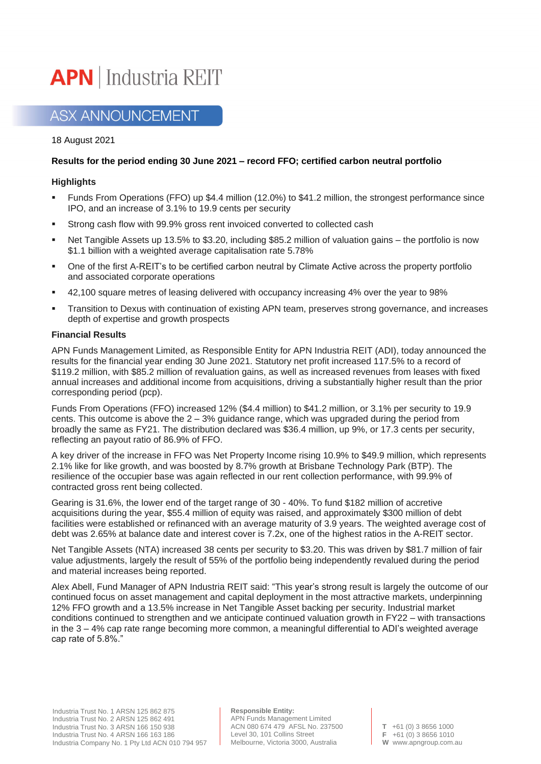# **APN** | Industria REIT

## **ASX ANNOUNCEMENT**

18 August 2021

### **Results for the period ending 30 June 2021 – record FFO; certified carbon neutral portfolio**

#### **Highlights**

- **•** Funds From Operations (FFO) up \$4.4 million (12.0%) to \$41.2 million, the strongest performance since IPO, and an increase of 3.1% to 19.9 cents per security
- Strong cash flow with 99.9% gross rent invoiced converted to collected cash
- Net Tangible Assets up 13.5% to \$3.20, including \$85.2 million of valuation gains the portfolio is now \$1.1 billion with a weighted average capitalisation rate 5.78%
- One of the first A-REIT's to be certified carbon neutral by Climate Active across the property portfolio and associated corporate operations
- 42,100 square metres of leasing delivered with occupancy increasing 4% over the year to 98%
- Transition to Dexus with continuation of existing APN team, preserves strong governance, and increases depth of expertise and growth prospects

#### **Financial Results**

APN Funds Management Limited, as Responsible Entity for APN Industria REIT (ADI), today announced the results for the financial year ending 30 June 2021. Statutory net profit increased 117.5% to a record of \$119.2 million, with \$85.2 million of revaluation gains, as well as increased revenues from leases with fixed annual increases and additional income from acquisitions, driving a substantially higher result than the prior corresponding period (pcp).

Funds From Operations (FFO) increased 12% (\$4.4 million) to \$41.2 million, or 3.1% per security to 19.9 cents. This outcome is above the 2 – 3% guidance range, which was upgraded during the period from broadly the same as FY21. The distribution declared was \$36.4 million, up 9%, or 17.3 cents per security, reflecting an payout ratio of 86.9% of FFO.

A key driver of the increase in FFO was Net Property Income rising 10.9% to \$49.9 million, which represents 2.1% like for like growth, and was boosted by 8.7% growth at Brisbane Technology Park (BTP). The resilience of the occupier base was again reflected in our rent collection performance, with 99.9% of contracted gross rent being collected.

Gearing is 31.6%, the lower end of the target range of 30 - 40%. To fund \$182 million of accretive acquisitions during the year, \$55.4 million of equity was raised, and approximately \$300 million of debt facilities were established or refinanced with an average maturity of 3.9 years. The weighted average cost of debt was 2.65% at balance date and interest cover is 7.2x, one of the highest ratios in the A-REIT sector.

Net Tangible Assets (NTA) increased 38 cents per security to \$3.20. This was driven by \$81.7 million of fair value adjustments, largely the result of 55% of the portfolio being independently revalued during the period and material increases being reported.

Alex Abell, Fund Manager of APN Industria REIT said: "This year's strong result is largely the outcome of our continued focus on asset management and capital deployment in the most attractive markets, underpinning 12% FFO growth and a 13.5% increase in Net Tangible Asset backing per security. Industrial market conditions continued to strengthen and we anticipate continued valuation growth in FY22 – with transactions in the 3 – 4% cap rate range becoming more common, a meaningful differential to ADI's weighted average cap rate of 5.8%."

**Responsible Entity:** APN Funds Management Limited ACN 080 674 479 AFSL No. 237500 Level 30, 101 Collins Street Melbourne, Victoria 3000, Australia

**T** +61 (0) 3 8656 1000 **F** +61 (0) 3 8656 1010 **W** www.apngroup.com.au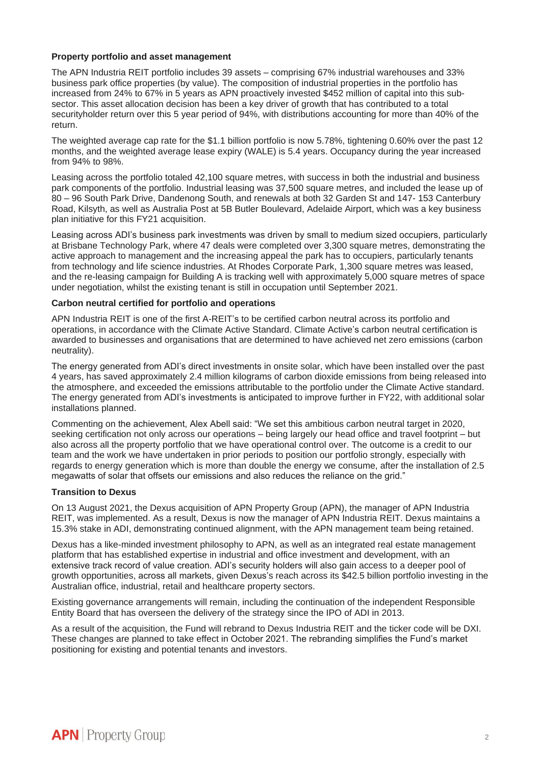#### **Property portfolio and asset management**

The APN Industria REIT portfolio includes 39 assets – comprising 67% industrial warehouses and 33% business park office properties (by value). The composition of industrial properties in the portfolio has increased from 24% to 67% in 5 years as APN proactively invested \$452 million of capital into this subsector. This asset allocation decision has been a key driver of growth that has contributed to a total securityholder return over this 5 year period of 94%, with distributions accounting for more than 40% of the return.

The weighted average cap rate for the \$1.1 billion portfolio is now 5.78%, tightening 0.60% over the past 12 months, and the weighted average lease expiry (WALE) is 5.4 years. Occupancy during the year increased from 94% to 98%.

Leasing across the portfolio totaled 42,100 square metres, with success in both the industrial and business park components of the portfolio. Industrial leasing was 37,500 square metres, and included the lease up of 80 – 96 South Park Drive, Dandenong South, and renewals at both 32 Garden St and 147- 153 Canterbury Road, Kilsyth, as well as Australia Post at 5B Butler Boulevard, Adelaide Airport, which was a key business plan initiative for this FY21 acquisition.

Leasing across ADI's business park investments was driven by small to medium sized occupiers, particularly at Brisbane Technology Park, where 47 deals were completed over 3,300 square metres, demonstrating the active approach to management and the increasing appeal the park has to occupiers, particularly tenants from technology and life science industries. At Rhodes Corporate Park, 1,300 square metres was leased, and the re-leasing campaign for Building A is tracking well with approximately 5,000 square metres of space under negotiation, whilst the existing tenant is still in occupation until September 2021.

#### **Carbon neutral certified for portfolio and operations**

APN Industria REIT is one of the first A-REIT's to be certified carbon neutral across its portfolio and operations, in accordance with the Climate Active Standard. Climate Active's carbon neutral certification is awarded to businesses and organisations that are determined to have achieved net zero emissions (carbon neutrality).

The energy generated from ADI's direct investments in onsite solar, which have been installed over the past 4 years, has saved approximately 2.4 million kilograms of carbon dioxide emissions from being released into the atmosphere, and exceeded the emissions attributable to the portfolio under the Climate Active standard. The energy generated from ADI's investments is anticipated to improve further in FY22, with additional solar installations planned.

Commenting on the achievement, Alex Abell said: "We set this ambitious carbon neutral target in 2020, seeking certification not only across our operations – being largely our head office and travel footprint – but also across all the property portfolio that we have operational control over. The outcome is a credit to our team and the work we have undertaken in prior periods to position our portfolio strongly, especially with regards to energy generation which is more than double the energy we consume, after the installation of 2.5 megawatts of solar that offsets our emissions and also reduces the reliance on the grid."

#### **Transition to Dexus**

On 13 August 2021, the Dexus acquisition of APN Property Group (APN), the manager of APN Industria REIT, was implemented. As a result, Dexus is now the manager of APN Industria REIT. Dexus maintains a 15.3% stake in ADI, demonstrating continued alignment, with the APN management team being retained.

Dexus has a like-minded investment philosophy to APN, as well as an integrated real estate management platform that has established expertise in industrial and office investment and development, with an extensive track record of value creation. ADI's security holders will also gain access to a deeper pool of growth opportunities, across all markets, given Dexus's reach across its \$42.5 billion portfolio investing in the Australian office, industrial, retail and healthcare property sectors.

Existing governance arrangements will remain, including the continuation of the independent Responsible Entity Board that has overseen the delivery of the strategy since the IPO of ADI in 2013.

As a result of the acquisition, the Fund will rebrand to Dexus Industria REIT and the ticker code will be DXI. These changes are planned to take effect in October 2021. The rebranding simplifies the Fund's market positioning for existing and potential tenants and investors.